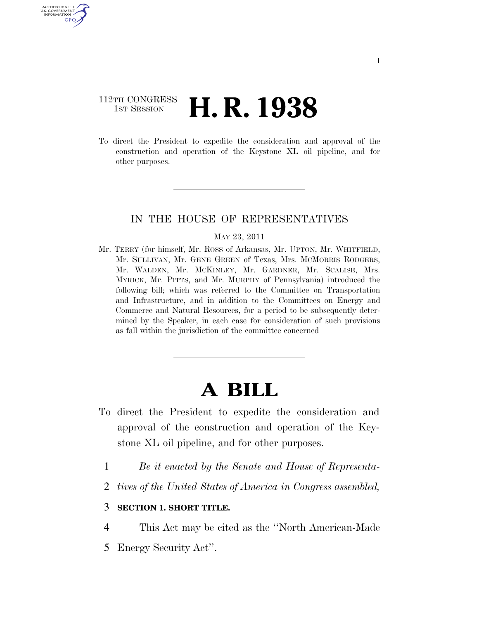## 112TH CONGRESS **1st Session H. R. 1938**

AUTHENTICATED U.S. GOVERNMENT GPO

> To direct the President to expedite the consideration and approval of the construction and operation of the Keystone XL oil pipeline, and for other purposes.

## IN THE HOUSE OF REPRESENTATIVES

#### MAY 23, 2011

Mr. TERRY (for himself, Mr. ROSS of Arkansas, Mr. UPTON, Mr. WHITFIELD, Mr. SULLIVAN, Mr. GENE GREEN of Texas, Mrs. MCMORRIS RODGERS, Mr. WALDEN, Mr. MCKINLEY, Mr. GARDNER, Mr. SCALISE, Mrs. MYRICK, Mr. PITTS, and Mr. MURPHY of Pennsylvania) introduced the following bill; which was referred to the Committee on Transportation and Infrastructure, and in addition to the Committees on Energy and Commerce and Natural Resources, for a period to be subsequently determined by the Speaker, in each case for consideration of such provisions as fall within the jurisdiction of the committee concerned

# **A BILL**

- To direct the President to expedite the consideration and approval of the construction and operation of the Keystone XL oil pipeline, and for other purposes.
	- 1 *Be it enacted by the Senate and House of Representa-*
	- 2 *tives of the United States of America in Congress assembled,*

## 3 **SECTION 1. SHORT TITLE.**

- 4 This Act may be cited as the ''North American-Made
- 5 Energy Security Act''.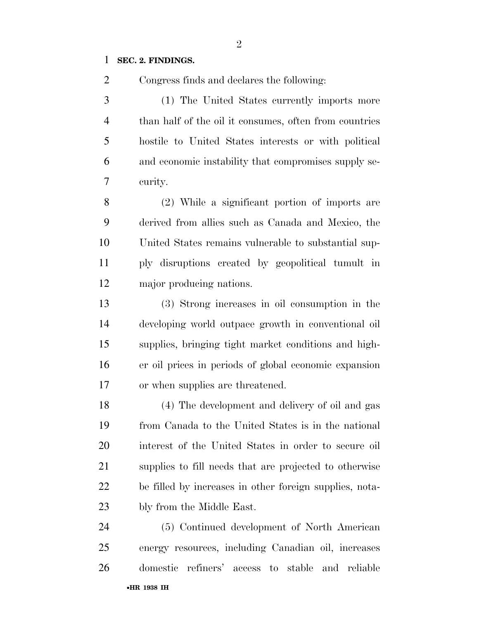## **SEC. 2. FINDINGS.**

Congress finds and declares the following:

 (1) The United States currently imports more than half of the oil it consumes, often from countries hostile to United States interests or with political and economic instability that compromises supply se-curity.

 (2) While a significant portion of imports are derived from allies such as Canada and Mexico, the United States remains vulnerable to substantial sup- ply disruptions created by geopolitical tumult in major producing nations.

 (3) Strong increases in oil consumption in the developing world outpace growth in conventional oil supplies, bringing tight market conditions and high- er oil prices in periods of global economic expansion or when supplies are threatened.

 (4) The development and delivery of oil and gas from Canada to the United States is in the national interest of the United States in order to secure oil supplies to fill needs that are projected to otherwise be filled by increases in other foreign supplies, nota-bly from the Middle East.

•**HR 1938 IH** (5) Continued development of North American energy resources, including Canadian oil, increases domestic refiners' access to stable and reliable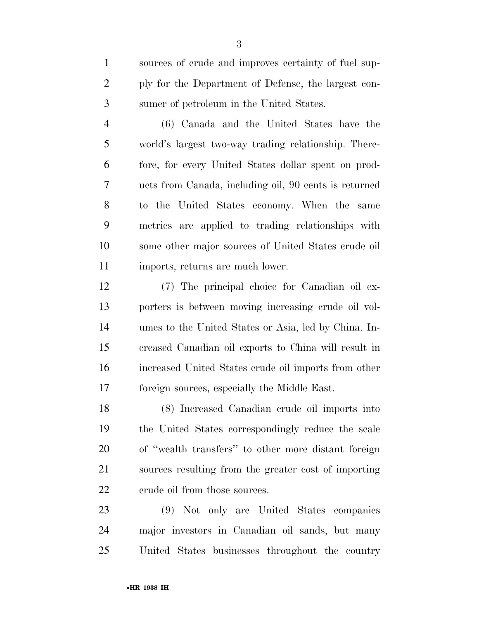sources of crude and improves certainty of fuel sup- ply for the Department of Defense, the largest con-sumer of petroleum in the United States.

 (6) Canada and the United States have the world's largest two-way trading relationship. There- fore, for every United States dollar spent on prod- ucts from Canada, including oil, 90 cents is returned to the United States economy. When the same metrics are applied to trading relationships with some other major sources of United States crude oil imports, returns are much lower.

 (7) The principal choice for Canadian oil ex- porters is between moving increasing crude oil vol- umes to the United States or Asia, led by China. In- creased Canadian oil exports to China will result in increased United States crude oil imports from other foreign sources, especially the Middle East.

 (8) Increased Canadian crude oil imports into the United States correspondingly reduce the scale of ''wealth transfers'' to other more distant foreign sources resulting from the greater cost of importing 22 crude oil from those sources.

 (9) Not only are United States companies major investors in Canadian oil sands, but many United States businesses throughout the country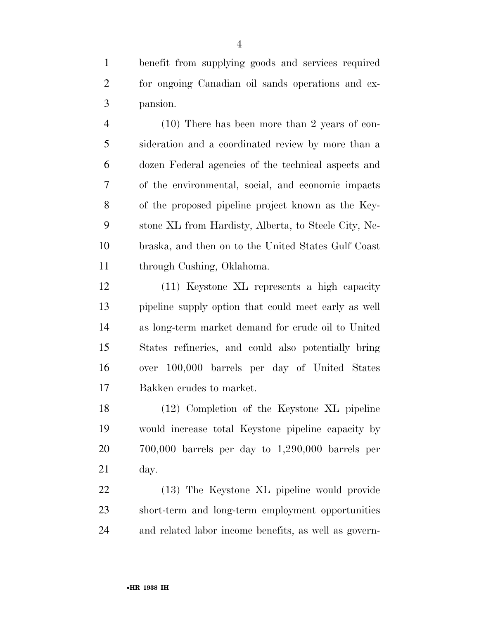benefit from supplying goods and services required for ongoing Canadian oil sands operations and ex-pansion.

 (10) There has been more than 2 years of con- sideration and a coordinated review by more than a dozen Federal agencies of the technical aspects and of the environmental, social, and economic impacts of the proposed pipeline project known as the Key- stone XL from Hardisty, Alberta, to Steele City, Ne- braska, and then on to the United States Gulf Coast through Cushing, Oklahoma.

 (11) Keystone XL represents a high capacity pipeline supply option that could meet early as well as long-term market demand for crude oil to United States refineries, and could also potentially bring over 100,000 barrels per day of United States Bakken crudes to market.

 (12) Completion of the Keystone XL pipeline would increase total Keystone pipeline capacity by 700,000 barrels per day to 1,290,000 barrels per day.

 (13) The Keystone XL pipeline would provide short-term and long-term employment opportunities and related labor income benefits, as well as govern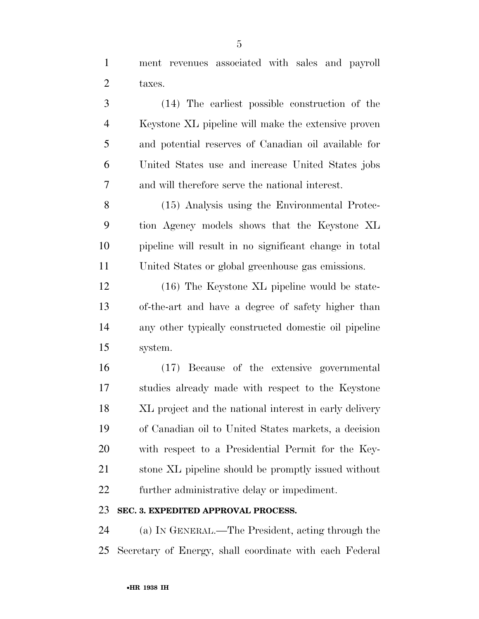ment revenues associated with sales and payroll taxes.

 (14) The earliest possible construction of the Keystone XL pipeline will make the extensive proven and potential reserves of Canadian oil available for United States use and increase United States jobs and will therefore serve the national interest.

 (15) Analysis using the Environmental Protec- tion Agency models shows that the Keystone XL pipeline will result in no significant change in total United States or global greenhouse gas emissions.

 (16) The Keystone XL pipeline would be state- of-the-art and have a degree of safety higher than any other typically constructed domestic oil pipeline system.

 (17) Because of the extensive governmental studies already made with respect to the Keystone XL project and the national interest in early delivery of Canadian oil to United States markets, a decision with respect to a Presidential Permit for the Key- stone XL pipeline should be promptly issued without further administrative delay or impediment.

## **SEC. 3. EXPEDITED APPROVAL PROCESS.**

 (a) IN GENERAL.—The President, acting through the Secretary of Energy, shall coordinate with each Federal